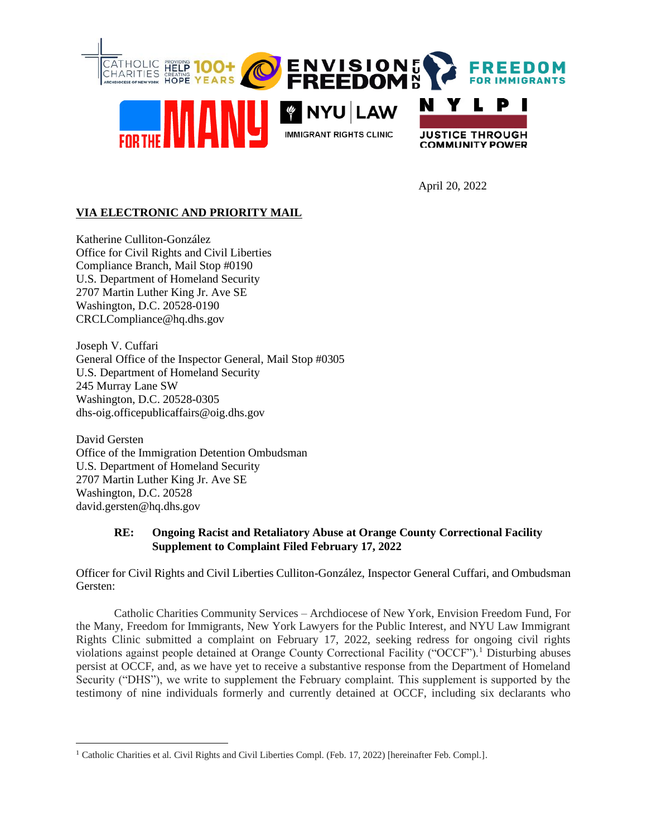

April 20, 2022

# **VIA ELECTRONIC AND PRIORITY MAIL**

Katherine Culliton-González Office for Civil Rights and Civil Liberties Compliance Branch, Mail Stop #0190 U.S. Department of Homeland Security 2707 Martin Luther King Jr. Ave SE Washington, D.C. 20528-0190 CRCLCompliance@hq.dhs.gov

Joseph V. Cuffari General Office of the Inspector General, Mail Stop #0305 U.S. Department of Homeland Security 245 Murray Lane SW Washington, D.C. 20528-0305 dhs-oig.officepublicaffairs@oig.dhs.gov

David Gersten Office of the Immigration Detention Ombudsman U.S. Department of Homeland Security 2707 Martin Luther King Jr. Ave SE Washington, D.C. 20528 david.gersten@hq.dhs.gov

# **RE: Ongoing Racist and Retaliatory Abuse at Orange County Correctional Facility Supplement to Complaint Filed February 17, 2022**

Officer for Civil Rights and Civil Liberties Culliton-González, Inspector General Cuffari, and Ombudsman Gersten:

Catholic Charities Community Services – Archdiocese of New York, Envision Freedom Fund, For the Many, Freedom for Immigrants, New York Lawyers for the Public Interest, and NYU Law Immigrant Rights Clinic submitted a complaint on February 17, 2022, seeking redress for ongoing civil rights violations against people detained at Orange County Correctional Facility ("OCCF").<sup>1</sup> Disturbing abuses persist at OCCF, and, as we have yet to receive a substantive response from the Department of Homeland Security ("DHS"), we write to supplement the February complaint. This supplement is supported by the testimony of nine individuals formerly and currently detained at OCCF, including six declarants who

<sup>&</sup>lt;sup>1</sup> Catholic Charities et al. Civil Rights and Civil Liberties Compl. (Feb. 17, 2022) [hereinafter Feb. Compl.].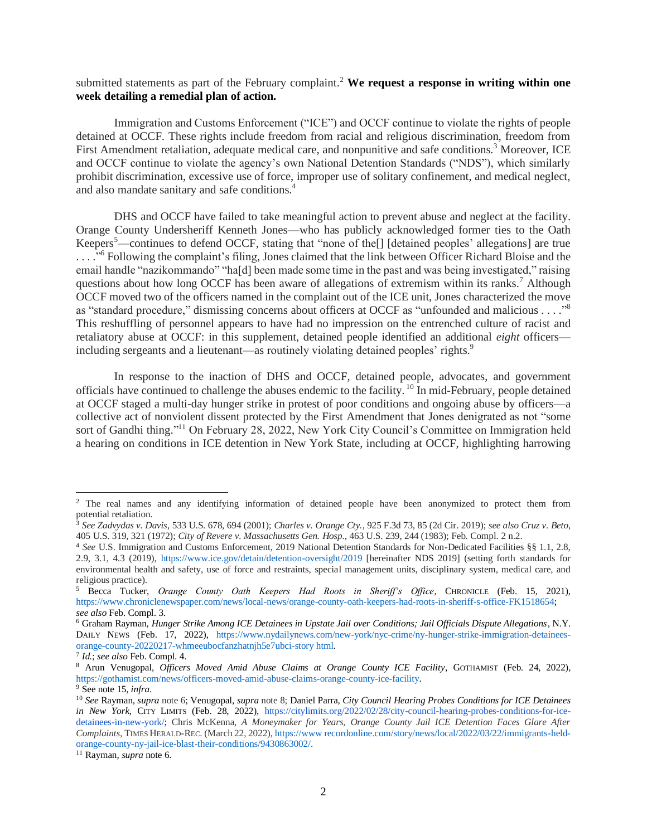# submitted statements as part of the February complaint.<sup>2</sup> We request a response in writing within one **week detailing a remedial plan of action.**

Immigration and Customs Enforcement ("ICE") and OCCF continue to violate the rights of people detained at OCCF. These rights include freedom from racial and religious discrimination, freedom from First Amendment retaliation, adequate medical care, and nonpunitive and safe conditions.<sup>3</sup> Moreover, ICE and OCCF continue to violate the agency's own National Detention Standards ("NDS"), which similarly prohibit discrimination, excessive use of force, improper use of solitary confinement, and medical neglect, and also mandate sanitary and safe conditions.<sup>4</sup>

DHS and OCCF have failed to take meaningful action to prevent abuse and neglect at the facility. Orange County Undersheriff Kenneth Jones—who has publicly acknowledged former ties to the Oath Keepers<sup>5</sup>—continues to defend OCCF, stating that "none of the<sup>[]</sup> [detained peoples' allegations] are true ...."<sup>6</sup> Following the complaint's filing, Jones claimed that the link between Officer Richard Bloise and the email handle "nazikommando" "ha[d] been made some time in the past and was being investigated," raising questions about how long OCCF has been aware of allegations of extremism within its ranks.<sup>7</sup> Although OCCF moved two of the officers named in the complaint out of the ICE unit, Jones characterized the move as "standard procedure," dismissing concerns about officers at OCCF as "unfounded and malicious . . . . "<sup>8</sup> This reshuffling of personnel appears to have had no impression on the entrenched culture of racist and retaliatory abuse at OCCF: in this supplement, detained people identified an additional *eight* officers including sergeants and a lieutenant—as routinely violating detained peoples' rights.<sup>9</sup>

In response to the inaction of DHS and OCCF, detained people, advocates, and government officials have continued to challenge the abuses endemic to the facility.<sup>10</sup> In mid-February, people detained at OCCF staged a multi-day hunger strike in protest of poor conditions and ongoing abuse by officers—a collective act of nonviolent dissent protected by the First Amendment that Jones denigrated as not "some sort of Gandhi thing."<sup>11</sup> On February 28, 2022, New York City Council's Committee on Immigration held a hearing on conditions in ICE detention in New York State, including at OCCF, highlighting harrowing

<sup>2</sup> The real names and any identifying information of detained people have been anonymized to protect them from potential retaliation.

<sup>3</sup> *See Zadvydas v. Davis*, 533 U.S. 678, 694 (2001); *Charles v. Orange Cty.*, 925 F.3d 73, 85 (2d Cir. 2019); *see also Cruz v. Beto*, 405 U.S. 319, 321 (1972); *City of Revere v. Massachusetts Gen. Hosp.*, 463 U.S. 239, 244 (1983); Feb. Compl. 2 n.2.

<sup>4</sup> *See* U.S. Immigration and Customs Enforcement, 2019 National Detention Standards for Non-Dedicated Facilities §§ 1.1, 2.8, 2.9, 3.1, 4.3 (2019), https://www.ice.gov/detain/detention-oversight/2019 [hereinafter NDS 2019] (setting forth standards for environmental health and safety, use of force and restraints, special management units, disciplinary system, medical care, and religious practice).

<sup>5</sup> Becca Tucker, *Orange County Oath Keepers Had Roots in Sheriff's Office*, CHRONICLE (Feb. 15, 2021), https://www.chroniclenewspaper.com/news/local-news/orange-county-oath-keepers-had-roots-in-sheriff-s-office-FK1518654; *see also* Feb. Compl. 3.

<sup>6</sup> Graham Rayman, *Hunger Strike Among ICE Detainees in Upstate Jail over Conditions; Jail Officials Dispute Allegations*, N.Y. DAILY NEWS (Feb. 17, 2022), https://www.nydailynews.com/new-york/nyc-crime/ny-hunger-strike-immigration-detaineesorange-county-20220217-whmeeubocfanzhatnjh5e7ubci-story html.

<sup>7</sup> *Id.*; *see also* Feb. Compl. 4.

<sup>8</sup> Arun Venugopal, *Officers Moved Amid Abuse Claims at Orange County ICE Facility*, GOTHAMIST (Feb. 24, 2022), https://gothamist.com/news/officers-moved-amid-abuse-claims-orange-county-ice-facility.

<sup>9</sup> See note 15, *infra*.

<sup>10</sup> *See* Rayman, *supra* note 6; Venugopal, *supra* note 8; Daniel Parra, *City Council Hearing Probes Conditions for ICE Detainees in New York*, CITY LIMITS (Feb. 28, 2022), https://citylimits.org/2022/02/28/city-council-hearing-probes-conditions-for-icedetainees-in-new-york/; Chris McKenna, *A Moneymaker for Years, Orange County Jail ICE Detention Faces Glare After Complaints*, TIMES HERALD-REC. (March 22, 2022), https://www recordonline.com/story/news/local/2022/03/22/immigrants-heldorange-county-ny-jail-ice-blast-their-conditions/9430863002/.

<sup>11</sup> Rayman, *supra* note 6.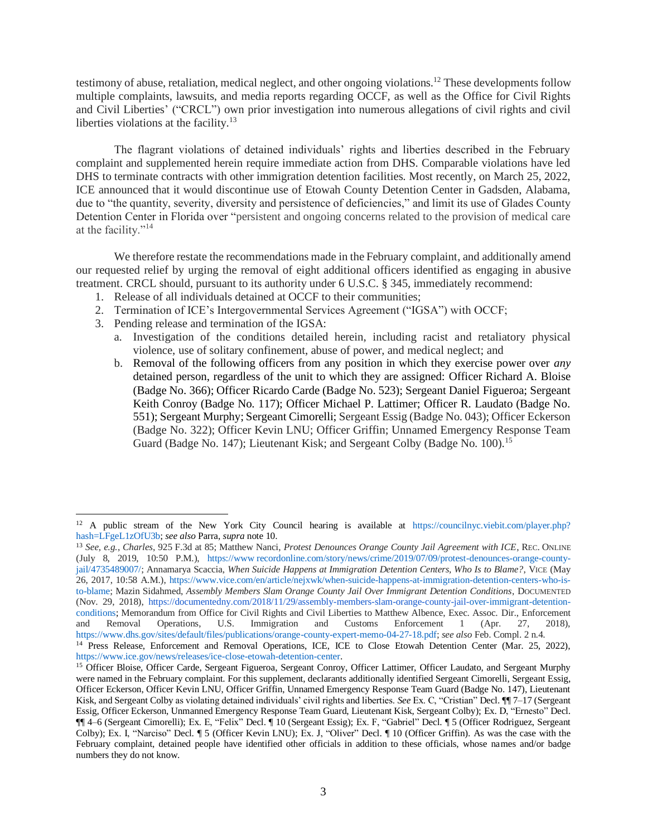testimony of abuse, retaliation, medical neglect, and other ongoing violations.<sup>12</sup> These developments follow multiple complaints, lawsuits, and media reports regarding OCCF, as well as the Office for Civil Rights and Civil Liberties' ("CRCL") own prior investigation into numerous allegations of civil rights and civil liberties violations at the facility. $13$ 

The flagrant violations of detained individuals' rights and liberties described in the February complaint and supplemented herein require immediate action from DHS. Comparable violations have led DHS to terminate contracts with other immigration detention facilities. Most recently, on March 25, 2022, ICE announced that it would discontinue use of Etowah County Detention Center in Gadsden, Alabama, due to "the quantity, severity, diversity and persistence of deficiencies," and limit its use of Glades County Detention Center in Florida over "persistent and ongoing concerns related to the provision of medical care at the facility."<sup>14</sup>

We therefore restate the recommendations made in the February complaint, and additionally amend our requested relief by urging the removal of eight additional officers identified as engaging in abusive treatment. CRCL should, pursuant to its authority under 6 U.S.C. § 345, immediately recommend:

- 1. Release of all individuals detained at OCCF to their communities;
- 2. Termination of ICE's Intergovernmental Services Agreement ("IGSA") with OCCF;
- 3. Pending release and termination of the IGSA:
	- a. Investigation of the conditions detailed herein, including racist and retaliatory physical violence, use of solitary confinement, abuse of power, and medical neglect; and
	- b. Removal of the following officers from any position in which they exercise power over *any* detained person, regardless of the unit to which they are assigned: Officer Richard A. Bloise (Badge No. 366); Officer Ricardo Carde (Badge No. 523); Sergeant Daniel Figueroa; Sergeant Keith Conroy (Badge No. 117); Officer Michael P. Lattimer; Officer R. Laudato (Badge No. 551); Sergeant Murphy; Sergeant Cimorelli; Sergeant Essig (Badge No. 043); Officer Eckerson (Badge No. 322); Officer Kevin LNU; Officer Griffin; Unnamed Emergency Response Team Guard (Badge No. 147); Lieutenant Kisk; and Sergeant Colby (Badge No. 100).<sup>15</sup>

<sup>&</sup>lt;sup>12</sup> A public stream of the New York City Council hearing is available at https://councilnyc.viebit.com/player.php? hash=LFgeL1zOfU3b; *see also* Parra, *supra* note 10.

<sup>13</sup> *See, e.g.*, *Charles*, 925 F.3d at 85; Matthew Nanci, *Protest Denounces Orange County Jail Agreement with ICE*, REC. ONLINE (July 8, 2019, 10:50 P.M.), https://www recordonline.com/story/news/crime/2019/07/09/protest-denounces-orange-countyjail/4735489007/; Annamarya Scaccia, *When Suicide Happens at Immigration Detention Centers, Who Is to Blame?*, VICE (May 26, 2017, 10:58 A.M.), https://www.vice.com/en/article/nejxwk/when-suicide-happens-at-immigration-detention-centers-who-isto-blame; Mazin Sidahmed, *Assembly Members Slam Orange County Jail Over Immigrant Detention Conditions*, DOCUMENTED (Nov. 29, 2018), https://documentedny.com/2018/11/29/assembly-members-slam-orange-county-jail-over-immigrant-detentionconditions; Memorandum from Office for Civil Rights and Civil Liberties to Matthew Albence, Exec. Assoc. Dir., Enforcement and Removal Operations, U.S. Immigration and Customs Enforcement 1 (Apr. 27, 2018), https://www.dhs.gov/sites/default/files/publications/orange-county-expert-memo-04-27-18.pdf; *see also* Feb. Compl. 2 n.4.

<sup>&</sup>lt;sup>14</sup> Press Release, Enforcement and Removal Operations, ICE, ICE to Close Etowah Detention Center (Mar. 25, 2022), https://www.ice.gov/news/releases/ice-close-etowah-detention-center.

<sup>&</sup>lt;sup>15</sup> Officer Bloise, Officer Carde, Sergeant Figueroa, Sergeant Conroy, Officer Lattimer, Officer Laudato, and Sergeant Murphy were named in the February complaint. For this supplement, declarants additionally identified Sergeant Cimorelli, Sergeant Essig, Officer Eckerson, Officer Kevin LNU, Officer Griffin, Unnamed Emergency Response Team Guard (Badge No. 147), Lieutenant Kisk, and Sergeant Colby as violating detained individuals' civil rights and liberties. *See* Ex. C, "Cristian" Decl. ¶¶ 7–17 (Sergeant Essig, Officer Eckerson, Unmanned Emergency Response Team Guard, Lieutenant Kisk, Sergeant Colby); Ex. D, "Ernesto" Decl. ¶¶ 4–6 (Sergeant Cimorelli); Ex. E, "Felix" Decl. ¶ 10 (Sergeant Essig); Ex. F, "Gabriel" Decl. ¶ 5 (Officer Rodriguez, Sergeant Colby); Ex. I, "Narciso" Decl. ¶ 5 (Officer Kevin LNU); Ex. J, "Oliver" Decl. ¶ 10 (Officer Griffin). As was the case with the February complaint, detained people have identified other officials in addition to these officials, whose names and/or badge numbers they do not know.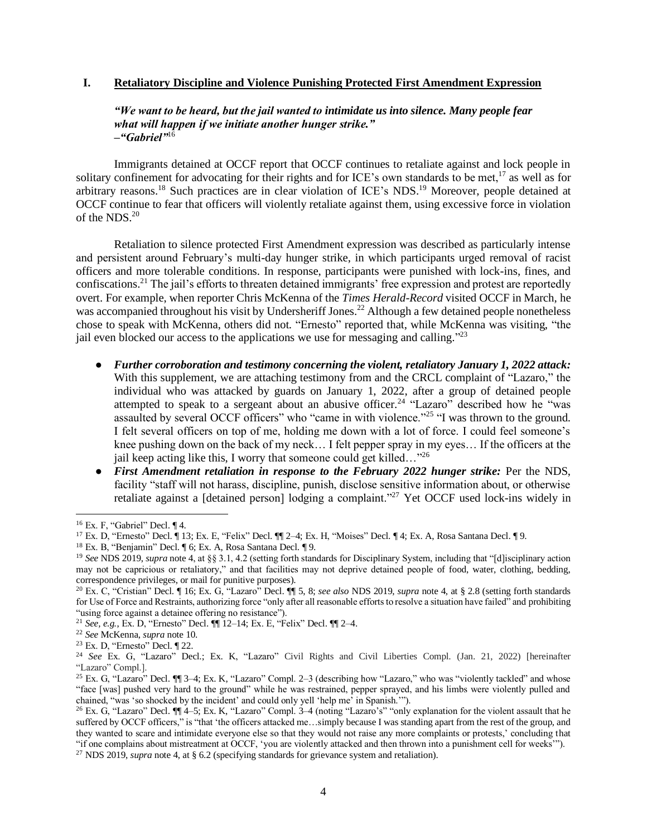### **I. Retaliatory Discipline and Violence Punishing Protected First Amendment Expression**

## *"We want to be heard, but the jail wanted to intimidate us into silence. Many people fear what will happen if we initiate another hunger strike." –"Gabriel"*<sup>16</sup>

Immigrants detained at OCCF report that OCCF continues to retaliate against and lock people in solitary confinement for advocating for their rights and for ICE's own standards to be met,<sup>17</sup> as well as for arbitrary reasons.<sup>18</sup> Such practices are in clear violation of ICE's NDS.<sup>19</sup> Moreover, people detained at OCCF continue to fear that officers will violently retaliate against them, using excessive force in violation of the NDS.<sup>20</sup>

Retaliation to silence protected First Amendment expression was described as particularly intense and persistent around February's multi-day hunger strike, in which participants urged removal of racist officers and more tolerable conditions. In response, participants were punished with lock-ins, fines, and confiscations.<sup>21</sup> The jail's efforts to threaten detained immigrants' free expression and protest are reportedly overt. For example, when reporter Chris McKenna of the *Times Herald-Record* visited OCCF in March, he was accompanied throughout his visit by Undersheriff Jones.<sup>22</sup> Although a few detained people nonetheless chose to speak with McKenna, others did not. "Ernesto" reported that, while McKenna was visiting, "the jail even blocked our access to the applications we use for messaging and calling."<sup>23</sup>

- *Further corroboration and testimony concerning the violent, retaliatory January 1, 2022 attack:*  With this supplement, we are attaching testimony from and the CRCL complaint of "Lazaro," the individual who was attacked by guards on January 1, 2022, after a group of detained people attempted to speak to a sergeant about an abusive officer.<sup>24</sup> "Lazaro" described how he "was assaulted by several OCCF officers" who "came in with violence."<sup>25</sup> "I was thrown to the ground. I felt several officers on top of me, holding me down with a lot of force. I could feel someone's knee pushing down on the back of my neck… I felt pepper spray in my eyes… If the officers at the jail keep acting like this, I worry that someone could get killed..."<sup>26</sup>
- *First Amendment retaliation in response to the February 2022 hunger strike:* Per the NDS, facility "staff will not harass, discipline, punish, disclose sensitive information about, or otherwise retaliate against a [detained person] lodging a complaint."<sup>27</sup> Yet OCCF used lock-ins widely in

 $16$  Ex. F, "Gabriel" Decl.  $\P$  4.

<sup>17</sup> Ex. D, "Ernesto" Decl. ¶ 13; Ex. E, "Felix" Decl. ¶¶ 2–4; Ex. H, "Moises" Decl. ¶ 4; Ex. A, Rosa Santana Decl. ¶ 9.

<sup>18</sup> Ex. B, "Benjamin" Decl. ¶ 6; Ex. A, Rosa Santana Decl. ¶ 9.

<sup>19</sup> *See* NDS 2019, *supra* note 4, at §§ 3.1, 4.2 (setting forth standards for Disciplinary System, including that "[d]isciplinary action may not be capricious or retaliatory," and that facilities may not deprive detained people of food, water, clothing, bedding, correspondence privileges, or mail for punitive purposes).

<sup>20</sup> Ex. C, "Cristian" Decl. ¶ 16; Ex. G, "Lazaro" Decl. ¶¶ 5, 8; *see also* NDS 2019, *supra* note 4, at § 2.8 (setting forth standards for Use of Force and Restraints, authorizing force "only after all reasonable efforts to resolve a situation have failed" and prohibiting "using force against a detainee offering no resistance").

<sup>21</sup> *See, e.g.*, Ex. D, "Ernesto" Decl. ¶¶ 12–14; Ex. E, "Felix" Decl. ¶¶ 2–4.

<sup>22</sup> *See* McKenna, *supra* note 10.

<sup>23</sup> Ex. D, "Ernesto" Decl. ¶ 22.

<sup>24</sup> *See* Ex. G, "Lazaro" Decl.; Ex. K, "Lazaro" Civil Rights and Civil Liberties Compl. (Jan. 21, 2022) [hereinafter "Lazaro" Compl.].

<sup>25</sup> Ex. G, "Lazaro" Decl. ¶¶ 3–4; Ex. K, "Lazaro" Compl. 2–3 (describing how "Lazaro," who was "violently tackled" and whose "face [was] pushed very hard to the ground" while he was restrained, pepper sprayed, and his limbs were violently pulled and chained, "was 'so shocked by the incident' and could only yell 'help me' in Spanish.'").

<sup>26</sup> Ex. G, "Lazaro" Decl. ¶¶ 4–5; Ex. K, "Lazaro" Compl. 3–4 (noting "Lazaro's" "only explanation for the violent assault that he suffered by OCCF officers," is "that 'the officers attacked me...simply because I was standing apart from the rest of the group, and they wanted to scare and intimidate everyone else so that they would not raise any more complaints or protests,' concluding that "if one complains about mistreatment at OCCF, 'you are violently attacked and then thrown into a punishment cell for weeks'").

<sup>&</sup>lt;sup>27</sup> NDS 2019, *supra* note 4, at § 6.2 (specifying standards for grievance system and retaliation).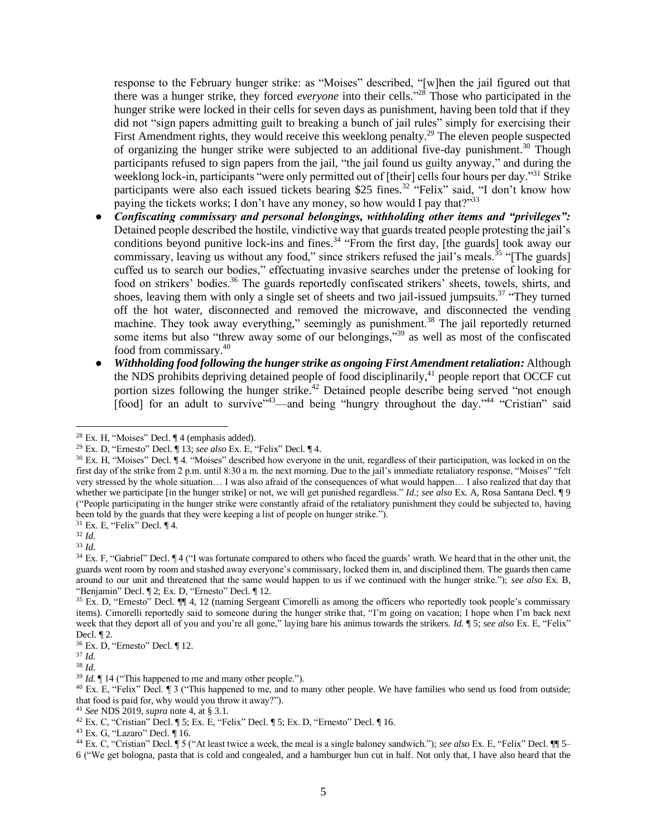response to the February hunger strike: as "Moises" described, "[w]hen the jail figured out that there was a hunger strike, they forced *everyone* into their cells." <sup>28</sup> Those who participated in the hunger strike were locked in their cells for seven days as punishment, having been told that if they did not "sign papers admitting guilt to breaking a bunch of jail rules" simply for exercising their First Amendment rights, they would receive this weeklong penalty.<sup>29</sup> The eleven people suspected of organizing the hunger strike were subjected to an additional five-day punishment.<sup>30</sup> Though participants refused to sign papers from the jail, "the jail found us guilty anyway," and during the weeklong lock-in, participants "were only permitted out of [their] cells four hours per day."<sup>31</sup> Strike participants were also each issued tickets bearing \$25 fines.<sup>32</sup> "Felix" said, "I don't know how paying the tickets works; I don't have any money, so how would I pay that?"<sup>33</sup>

- *Confiscating commissary and personal belongings, withholding other items and "privileges":* Detained people described the hostile, vindictive way that guards treated people protesting the jail's conditions beyond punitive lock-ins and fines.<sup>34</sup> "From the first day, [the guards] took away our commissary, leaving us without any food," since strikers refused the jail's meals.<sup>35</sup> "[The guards] cuffed us to search our bodies," effectuating invasive searches under the pretense of looking for food on strikers' bodies.<sup>36</sup> The guards reportedly confiscated strikers' sheets, towels, shirts, and shoes, leaving them with only a single set of sheets and two jail-issued jumpsuits.<sup>37</sup> "They turned off the hot water, disconnected and removed the microwave, and disconnected the vending machine. They took away everything," seemingly as punishment.<sup>38</sup> The jail reportedly returned some items but also "threw away some of our belongings,"<sup>39</sup> as well as most of the confiscated food from commissary.<sup>40</sup>
- *Withholding food following the hunger strike as ongoing First Amendment retaliation:* Although the NDS prohibits depriving detained people of food disciplinarily,<sup>41</sup> people report that OCCF cut portion sizes following the hunger strike.<sup>42</sup> Detained people describe being served "not enough [food] for an adult to survive"<sup>43</sup>—and being "hungry throughout the day."<sup>44</sup> "Cristian" said

<sup>31</sup> Ex. E, "Felix" Decl. ¶ 4.

<sup>41</sup> *See* NDS 2019, *supra* note 4, at § 3.1.

 $28$  Ex. H, "Moises" Decl.  $\P$  4 (emphasis added).

<sup>29</sup> Ex. D, "Ernesto" Decl. ¶ 13; *see also* Ex. E, "Felix" Decl. ¶ 4.

<sup>30</sup> Ex. H, "Moises" Decl. ¶ 4. "Moises" described how everyone in the unit, regardless of their participation, was locked in on the first day of the strike from 2 p.m. until 8:30 a m. the next morning. Due to the jail's immediate retaliatory response, "Moises" "felt very stressed by the whole situation… I was also afraid of the consequences of what would happen… I also realized that day that whether we participate [in the hunger strike] or not, we will get punished regardless." *Id*.; *see also* Ex. A, Rosa Santana Decl. ¶ 9 ("People participating in the hunger strike were constantly afraid of the retaliatory punishment they could be subjected to, having been told by the guards that they were keeping a list of people on hunger strike.").

<sup>32</sup> *Id*.

<sup>33</sup> *Id*.

<sup>&</sup>lt;sup>34</sup> Ex. F, "Gabriel" Decl. ¶ 4 ("I was fortunate compared to others who faced the guards' wrath. We heard that in the other unit, the guards went room by room and stashed away everyone's commissary, locked them in, and disciplined them. The guards then came around to our unit and threatened that the same would happen to us if we continued with the hunger strike."); *see also* Ex. B, "Benjamin" Decl. ¶ 2; Ex. D, "Ernesto" Decl. ¶ 12.

<sup>35</sup> Ex. D, "Ernesto" Decl. ¶¶ 4, 12 (naming Sergeant Cimorelli as among the officers who reportedly took people's commissary items). Cimorelli reportedly said to someone during the hunger strike that, "I'm going on vacation; I hope when I'm back next week that they deport all of you and you're all gone," laying bare his animus towards the strikers. *Id.* **[5**; *see also* Ex. E, "Felix" Decl. ¶ 2.

<sup>36</sup> Ex. D, "Ernesto" Decl. ¶ 12.

<sup>37</sup> *Id*.

<sup>38</sup> *Id*.

<sup>&</sup>lt;sup>39</sup> *Id.*  $\P$  14 ("This happened to me and many other people.").

<sup>&</sup>lt;sup>40</sup> Ex. E, "Felix" Decl. ¶ 3 ("This happened to me, and to many other people. We have families who send us food from outside; that food is paid for, why would you throw it away?").

<sup>42</sup> Ex. C, "Cristian" Decl. ¶ 5; Ex. E, "Felix" Decl. ¶ 5; Ex. D, "Ernesto" Decl. ¶ 16.

<sup>43</sup> Ex. G, "Lazaro" Decl. ¶ 16.

<sup>44</sup> Ex. C, "Cristian" Decl. ¶ 5 ("At least twice a week, the meal is a single baloney sandwich."); *see also* Ex. E, "Felix" Decl. ¶¶ 5– 6 ("We get bologna, pasta that is cold and congealed, and a hamburger bun cut in half. Not only that, I have also heard that the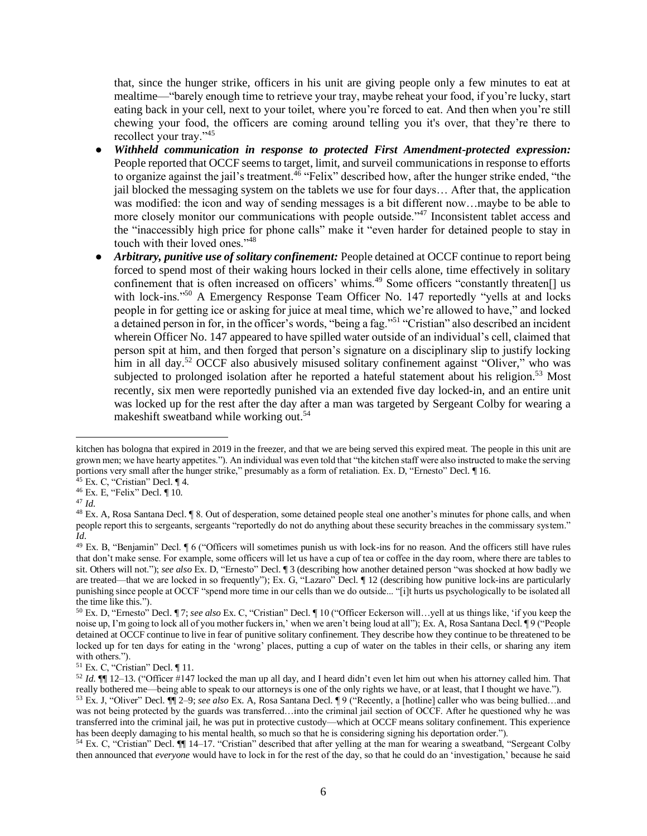that, since the hunger strike, officers in his unit are giving people only a few minutes to eat at mealtime—"barely enough time to retrieve your tray, maybe reheat your food, if you're lucky, start eating back in your cell, next to your toilet, where you're forced to eat. And then when you're still chewing your food, the officers are coming around telling you it's over, that they're there to recollect your tray."<sup>45</sup>

- *Withheld communication in response to protected First Amendment-protected expression:* People reported that OCCF seems to target, limit, and surveil communications in response to efforts to organize against the jail's treatment.<sup>46</sup> "Felix" described how, after the hunger strike ended, "the jail blocked the messaging system on the tablets we use for four days… After that, the application was modified: the icon and way of sending messages is a bit different now…maybe to be able to more closely monitor our communications with people outside."<sup>47</sup> Inconsistent tablet access and the "inaccessibly high price for phone calls" make it "even harder for detained people to stay in touch with their loved ones."<sup>48</sup>
- *Arbitrary, punitive use of solitary confinement:* People detained at OCCF continue to report being forced to spend most of their waking hours locked in their cells alone, time effectively in solitary confinement that is often increased on officers' whims.<sup>49</sup> Some officers "constantly threaten[] us with lock-ins."<sup>50</sup> A Emergency Response Team Officer No. 147 reportedly "yells at and locks people in for getting ice or asking for juice at meal time, which we're allowed to have," and locked a detained person in for, in the officer's words, "being a fag."<sup>51</sup> "Cristian" also described an incident wherein Officer No. 147 appeared to have spilled water outside of an individual's cell, claimed that person spit at him, and then forged that person's signature on a disciplinary slip to justify locking him in all day.<sup>52</sup> OCCF also abusively misused solitary confinement against "Oliver," who was subjected to prolonged isolation after he reported a hateful statement about his religion.<sup>53</sup> Most recently, six men were reportedly punished via an extended five day locked-in, and an entire unit was locked up for the rest after the day after a man was targeted by Sergeant Colby for wearing a makeshift sweatband while working out.<sup>54</sup>

<sup>47</sup> *Id*.

kitchen has bologna that expired in 2019 in the freezer, and that we are being served this expired meat. The people in this unit are grown men; we have hearty appetites."). An individual was even told that "the kitchen staff were also instructed to make the serving portions very small after the hunger strike," presumably as a form of retaliation. Ex. D, "Ernesto" Decl. ¶ 16.

 $45$  Ex. C, "Cristian" Decl.  $\P$  4.

<sup>46</sup> Ex. E, "Felix" Decl. ¶ 10.

<sup>48</sup> Ex. A, Rosa Santana Decl. ¶ 8. Out of desperation, some detained people steal one another's minutes for phone calls, and when people report this to sergeants, sergeants "reportedly do not do anything about these security breaches in the commissary system." *Id*.

<sup>49</sup> Ex. B, "Benjamin" Decl. ¶ 6 ("Officers will sometimes punish us with lock-ins for no reason. And the officers still have rules that don't make sense. For example, some officers will let us have a cup of tea or coffee in the day room, where there are tables to sit. Others will not."); *see also* Ex. D, "Ernesto" Decl. ¶ 3 (describing how another detained person "was shocked at how badly we are treated—that we are locked in so frequently"); Ex. G, "Lazaro" Decl. ¶ 12 (describing how punitive lock-ins are particularly punishing since people at OCCF "spend more time in our cells than we do outside... "[i]t hurts us psychologically to be isolated all the time like this.").

<sup>50</sup> Ex. D, "Ernesto" Decl. ¶ 7; *see also* Ex. C, "Cristian" Decl. ¶ 10 ("Officer Eckerson will…yell at us things like, 'if you keep the noise up, I'm going to lock all of you mother fuckers in,' when we aren't being loud at all"); Ex. A, Rosa Santana Decl. ¶ 9 ("People detained at OCCF continue to live in fear of punitive solitary confinement. They describe how they continue to be threatened to be locked up for ten days for eating in the 'wrong' places, putting a cup of water on the tables in their cells, or sharing any item with others.").

<sup>51</sup> Ex. C, "Cristian" Decl. ¶ 11.

<sup>52</sup> *Id*. ¶¶ 12–13. ("Officer #147 locked the man up all day, and I heard didn't even let him out when his attorney called him. That really bothered me—being able to speak to our attorneys is one of the only rights we have, or at least, that I thought we have.").

<sup>53</sup> Ex. J, "Oliver" Decl. ¶¶ 2–9; *see also* Ex. A, Rosa Santana Decl. ¶ 9 ("Recently, a [hotline] caller who was being bullied…and was not being protected by the guards was transferred…into the criminal jail section of OCCF. After he questioned why he was transferred into the criminal jail, he was put in protective custody—which at OCCF means solitary confinement. This experience has been deeply damaging to his mental health, so much so that he is considering signing his deportation order.").

<sup>54</sup> Ex. C, "Cristian" Decl. ¶¶ 14–17. "Cristian" described that after yelling at the man for wearing a sweatband, "Sergeant Colby then announced that *everyone* would have to lock in for the rest of the day, so that he could do an 'investigation,' because he said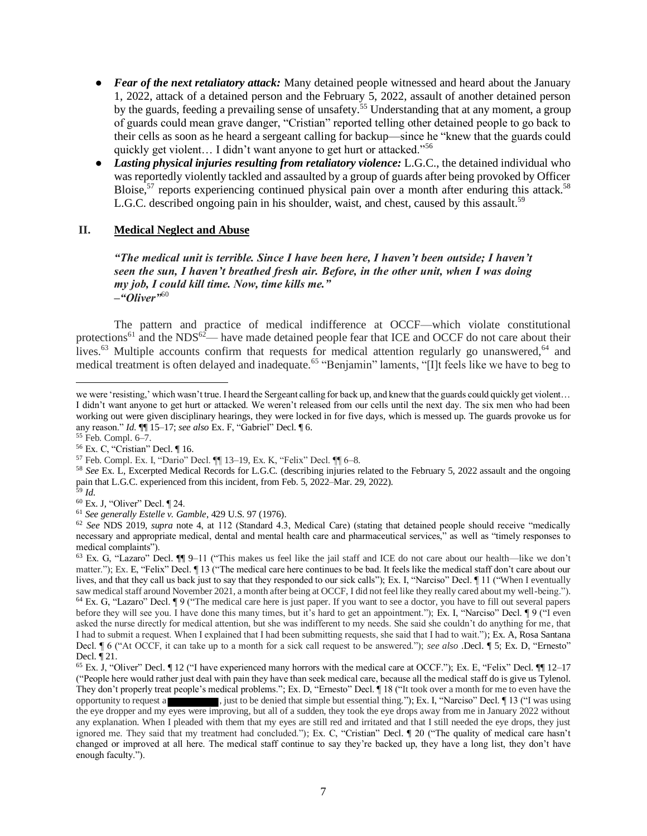- *Fear of the next retaliatory attack:* Many detained people witnessed and heard about the January 1, 2022, attack of a detained person and the February 5, 2022, assault of another detained person by the guards, feeding a prevailing sense of unsafety.<sup>55</sup> Understanding that at any moment, a group of guards could mean grave danger, "Cristian" reported telling other detained people to go back to their cells as soon as he heard a sergeant calling for backup—since he "knew that the guards could quickly get violent... I didn't want anyone to get hurt or attacked."<sup>56</sup>
- *Lasting physical injuries resulting from retaliatory violence:* L.G.C., the detained individual who was reportedly violently tackled and assaulted by a group of guards after being provoked by Officer Bloise,<sup>57</sup> reports experiencing continued physical pain over a month after enduring this attack.<sup>58</sup> L.G.C. described ongoing pain in his shoulder, waist, and chest, caused by this assault.<sup>59</sup>

## **II. Medical Neglect and Abuse**

*"The medical unit is terrible. Since I have been here, I haven't been outside; I haven't seen the sun, I haven't breathed fresh air. Before, in the other unit, when I was doing my job, I could kill time. Now, time kills me." –"Oliver"*<sup>60</sup>

The pattern and practice of medical indifference at OCCF—which violate constitutional protections<sup>61</sup> and the NDS<sup>62</sup>— have made detained people fear that ICE and OCCF do not care about their lives.<sup>63</sup> Multiple accounts confirm that requests for medical attention regularly go unanswered,<sup>64</sup> and medical treatment is often delayed and inadequate.<sup>65</sup> "Benjamin" laments, "[I]t feels like we have to beg to

- <sup>58</sup> *See* Ex. L, Excerpted Medical Records for L.G.C. (describing injuries related to the February 5, 2022 assault and the ongoing pain that L.G.C. experienced from this incident, from Feb. 5, 2022–Mar. 29, 2022).
- <sup>59</sup> *Id*.
- <sup>60</sup> Ex. J, "Oliver" Decl. ¶ 24.

<sup>61</sup> *See generally Estelle v. Gamble*, 429 U.S. 97 (1976).

we were 'resisting,' which wasn't true. I heard the Sergeant calling for back up, and knew that the guards could quickly get violent… I didn't want anyone to get hurt or attacked. We weren't released from our cells until the next day. The six men who had been working out were given disciplinary hearings, they were locked in for five days, which is messed up. The guards provoke us for any reason." *Id*. ¶¶ 15–17; *see also* Ex. F, "Gabriel" Decl. ¶ 6.

<sup>55</sup> Feb. Compl. 6–7.

<sup>56</sup> Ex. C, "Cristian" Decl. ¶ 16.

<sup>57</sup> Feb. Compl. Ex. I, "Dario" Decl. ¶¶ 13–19, Ex. K, "Felix" Decl. ¶¶ 6–8.

<sup>62</sup> *See* NDS 2019, *supra* note 4, at 112 (Standard 4.3, Medical Care) (stating that detained people should receive "medically necessary and appropriate medical, dental and mental health care and pharmaceutical services," as well as "timely responses to medical complaints").

 $63$  Ex. G, "Lazaro" Decl.  $\P\P$  9–11 ("This makes us feel like the jail staff and ICE do not care about our health—like we don't matter."); Ex. E, "Felix" Decl. ¶ 13 ("The medical care here continues to be bad. It feels like the medical staff don't care about our lives, and that they call us back just to say that they responded to our sick calls"); Ex. I, "Narciso" Decl. ¶ 11 ("When I eventually saw medical staff around November 2021, a month after being at OCCF, I did not feel like they really cared about my well-being."). <sup>64</sup> Ex. G, "Lazaro" Decl. ¶ 9 ("The medical care here is just paper. If you want to see a doctor, you have to fill out several papers before they will see you. I have done this many times, but it's hard to get an appointment."); Ex. I, "Narciso" Decl. ¶ 9 ("I even asked the nurse directly for medical attention, but she was indifferent to my needs. She said she couldn't do anything for me, that I had to submit a request. When I explained that I had been submitting requests, she said that I had to wait."); Ex. A, Rosa Santana Decl. ¶ 6 ("At OCCF, it can take up to a month for a sick call request to be answered."); *see also* .Decl. ¶ 5; Ex. D, "Ernesto" Decl. ¶ 21.

<sup>65</sup> Ex. J, "Oliver" Decl. ¶ 12 ("I have experienced many horrors with the medical care at OCCF."); Ex. E, "Felix" Decl. ¶¶ 12–17 ("People here would rather just deal with pain they have than seek medical care, because all the medical staff do is give us Tylenol. They don't properly treat people's medical problems."; Ex. D, "Ernesto" Decl. ¶ 18 ("It took over a month for me to even have the opportunity to request a , just to be denied that simple but essential thing."); Ex. I, "Narciso" Decl. ¶ 13 ("I was using the eye dropper and my eyes were improving, but all of a sudden, they took the eye drops away from me in January 2022 without any explanation. When I pleaded with them that my eyes are still red and irritated and that I still needed the eye drops, they just ignored me. They said that my treatment had concluded."); Ex. C, "Cristian" Decl. ¶ 20 ("The quality of medical care hasn't changed or improved at all here. The medical staff continue to say they're backed up, they have a long list, they don't have enough faculty.").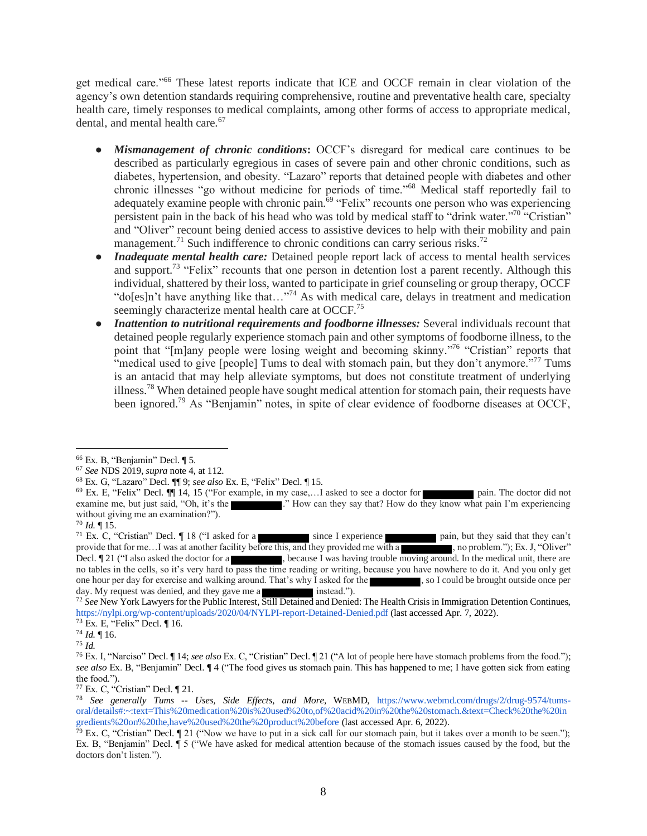get medical care."<sup>66</sup> These latest reports indicate that ICE and OCCF remain in clear violation of the agency's own detention standards requiring comprehensive, routine and preventative health care, specialty health care, timely responses to medical complaints, among other forms of access to appropriate medical, dental, and mental health care.<sup>67</sup>

- *Mismanagement of chronic conditions***:** OCCF's disregard for medical care continues to be described as particularly egregious in cases of severe pain and other chronic conditions, such as diabetes, hypertension, and obesity. "Lazaro" reports that detained people with diabetes and other chronic illnesses "go without medicine for periods of time."<sup>68</sup> Medical staff reportedly fail to adequately examine people with chronic pain.<sup>69</sup> "Felix" recounts one person who was experiencing persistent pain in the back of his head who was told by medical staff to "drink water."<sup>70</sup> "Cristian" and "Oliver" recount being denied access to assistive devices to help with their mobility and pain management.<sup>71</sup> Such indifference to chronic conditions can carry serious risks.<sup>72</sup>
- **Inadequate mental health care:** Detained people report lack of access to mental health services and support.<sup>73</sup> "Felix" recounts that one person in detention lost a parent recently. Although this individual, shattered by their loss, wanted to participate in grief counseling or group therapy, OCCF "do[es]n't have anything like that…"<sup>74</sup> As with medical care, delays in treatment and medication seemingly characterize mental health care at OCCF.<sup>75</sup>
- Inattention to nutritional requirements and foodborne illnesses: Several individuals recount that detained people regularly experience stomach pain and other symptoms of foodborne illness, to the point that "[m]any people were losing weight and becoming skinny."<sup>76</sup> "Cristian" reports that "medical used to give [people] Tums to deal with stomach pain, but they don't anymore."<sup>77</sup> Tums is an antacid that may help alleviate symptoms, but does not constitute treatment of underlying illness.<sup>78</sup> When detained people have sought medical attention for stomach pain, their requests have been ignored.<sup>79</sup> As "Benjamin" notes, in spite of clear evidence of foodborne diseases at OCCF,

<sup>66</sup> Ex. B, "Benjamin" Decl. ¶ 5.

<sup>67</sup> *See* NDS 2019, *supra* note 4, at 112.

<sup>68</sup> Ex. G, "Lazaro" Decl. ¶¶ 9; *see also* Ex. E, "Felix" Decl. ¶ 15.

<sup>69</sup> Ex. E, "Felix" Decl. ¶¶ 14, 15 ("For example, in my case,…I asked to see a doctor for pain. The doctor did not examine me, but just said, "Oh, it's the ." How can they say that? How do they know what pain I'm experiencing without giving me an examination?").

 $70$  *Id.*  $\P$  15.

<sup>&</sup>lt;sup>71</sup> Ex. C, "Cristian" Decl.  $\parallel$  18 ("I asked for a since I experience pain, but they said that they can't provide that for me...I was at another facility before this, and they provided me with a , no problem."); Ex. J, "Oliver" Decl.  $\llbracket 21 \rightleftharpoons$  11 ("I also asked the doctor for a , because I was having trouble moving around. In the medical unit, there are no tables in the cells, so it's very hard to pass the time reading or writing, because you have nowhere to do it. And you only get one hour per day for exercise and walking around. That's why I asked for the , so I could be brought outside once per day. My request was denied, and they gave me a instead."). day. My request was denied, and they gave me a

<sup>72</sup> *See* New York Lawyers for the Public Interest, Still Detained and Denied: The Health Crisis in Immigration Detention Continues, https://nylpi.org/wp-content/uploads/2020/04/NYLPI-report-Detained-Denied.pdf (last accessed Apr. 7, 2022).

<sup>73</sup> Ex. E, "Felix" Decl. ¶ 16.

<sup>74</sup> *Id.* ¶ 16.

<sup>75</sup> *Id.* 

<sup>76</sup> Ex. I, "Narciso" Decl. ¶ 14; *see also* Ex. C, "Cristian" Decl. ¶ 21 ("A lot of people here have stomach problems from the food."); *see also* Ex. B, "Benjamin" Decl. ¶ 4 ("The food gives us stomach pain. This has happened to me; I have gotten sick from eating the food.").

<sup>77</sup> Ex. C, "Cristian" Decl. ¶ 21.

<sup>78</sup> *See generally Tums -- Uses, Side Effects, and More*, WEBMD, https://www.webmd.com/drugs/2/drug-9574/tumsoral/details#:~:text=This%20medication%20is%20used%20to,of%20acid%20in%20the%20stomach.&text=Check%20the%20in gredients%20on%20the,have%20used%20the%20product%20before (last accessed Apr. 6, 2022).

 $\bar{79}$  Ex. C, "Cristian" Decl. [21 ("Now we have to put in a sick call for our stomach pain, but it takes over a month to be seen."); Ex. B, "Benjamin" Decl. ¶ 5 ("We have asked for medical attention because of the stomach issues caused by the food, but the doctors don't listen.").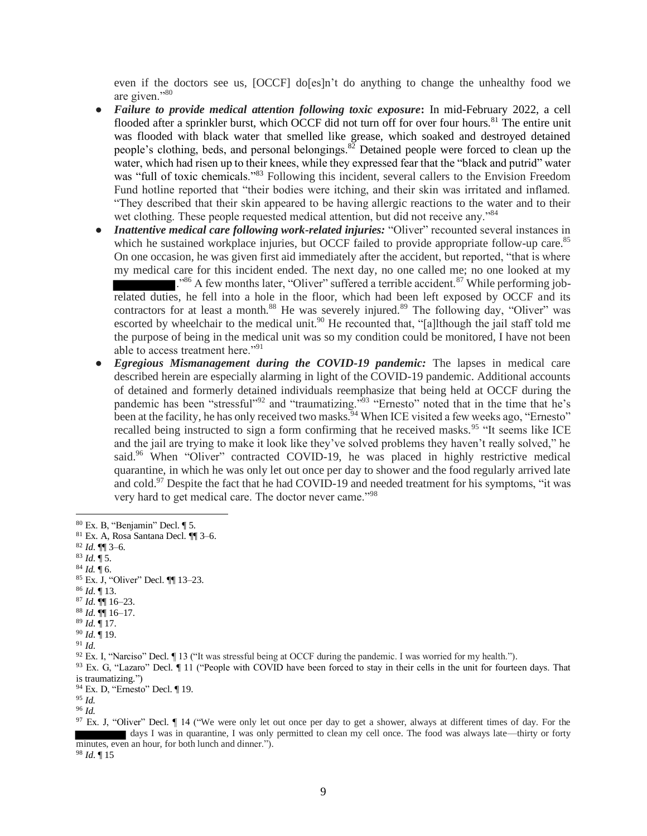even if the doctors see us, [OCCF] do[es]n't do anything to change the unhealthy food we are given."<sup>80</sup>

- *Failure to provide medical attention following toxic exposure***:** In mid-February 2022, a cell flooded after a sprinkler burst, which OCCF did not turn off for over four hours.<sup>81</sup> The entire unit was flooded with black water that smelled like grease, which soaked and destroyed detained people's clothing, beds, and personal belongings.<sup>82</sup> Detained people were forced to clean up the water, which had risen up to their knees, while they expressed fear that the "black and putrid" water was "full of toxic chemicals."<sup>83</sup> Following this incident, several callers to the Envision Freedom Fund hotline reported that "their bodies were itching, and their skin was irritated and inflamed. "They described that their skin appeared to be having allergic reactions to the water and to their wet clothing. These people requested medical attention, but did not receive any."<sup>84</sup>
- *Inattentive medical care following work-related injuries:* "Oliver" recounted several instances in which he sustained workplace injuries, but OCCF failed to provide appropriate follow-up care.<sup>85</sup> On one occasion, he was given first aid immediately after the accident, but reported, "that is where my medical care for this incident ended. The next day, no one called me; no one looked at my

 $\mathbb{R}^{386}$  A few months later, "Oliver" suffered a terrible accident.<sup>87</sup> While performing jobrelated duties, he fell into a hole in the floor, which had been left exposed by OCCF and its contractors for at least a month.<sup>88</sup> He was severely injured.<sup>89</sup> The following day, "Oliver" was escorted by wheelchair to the medical unit.<sup>90</sup> He recounted that, "[a]lthough the jail staff told me the purpose of being in the medical unit was so my condition could be monitored, I have not been able to access treatment here."<sup>91</sup>

*Egregious Mismanagement during the COVID-19 pandemic:* The lapses in medical care described herein are especially alarming in light of the COVID-19 pandemic. Additional accounts of detained and formerly detained individuals reemphasize that being held at OCCF during the pandemic has been "stressful"<sup>92</sup> and "traumatizing."<sup>93</sup> "Ernesto" noted that in the time that he's been at the facility, he has only received two masks.<sup>94</sup> When ICE visited a few weeks ago, "Ernesto" recalled being instructed to sign a form confirming that he received masks.<sup>95</sup> "It seems like ICE and the jail are trying to make it look like they've solved problems they haven't really solved," he said.<sup>96</sup> When "Oliver" contracted COVID-19, he was placed in highly restrictive medical quarantine, in which he was only let out once per day to shower and the food regularly arrived late and cold.<sup>97</sup> Despite the fact that he had COVID-19 and needed treatment for his symptoms, "it was very hard to get medical care. The doctor never came."<sup>98</sup>

- <sup>87</sup> *Id*. ¶¶ 16–23.
- <sup>88</sup> *Id*. ¶¶ 16–17.

<sup>90</sup> *Id*. ¶ 19.

<sup>92</sup> Ex. I, "Narciso" Decl. ¶ 13 ("It was stressful being at OCCF during the pandemic. I was worried for my health.").

 $93$  Ex. G, "Lazaro" Decl.  $\P$  11 ("People with COVID have been forced to stay in their cells in the unit for fourteen days. That is traumatizing.")

<sup>94</sup> Ex. D, "Ernesto" Decl. ¶ 19.

<sup>96</sup> *Id.* 

<sup>97</sup> Ex. J, "Oliver" Decl.  $\P$  14 ("We were only let out once per day to get a shower, always at different times of day. For the days I was in quarantine, I was only permitted to clean my cell once. The food was always late—thirty or forty minutes, even an hour, for both lunch and dinner.").

<sup>98</sup> *Id*. ¶ 15

<sup>80</sup> Ex. B, "Benjamin" Decl. ¶ 5.

<sup>81</sup> Ex. A, Rosa Santana Decl. ¶¶ 3–6.

<sup>82</sup> *Id*. ¶¶ 3–6.

 $^{83}$  *Id.*  $\sqrt{5}$ .

 $84$  *Id.*  $\frac{1}{3}$  6.

<sup>85</sup> Ex. J, "Oliver" Decl. ¶¶ 13–23.

<sup>86</sup> *Id*. ¶ 13.

<sup>89</sup> *Id*. ¶ 17.

<sup>91</sup> *Id*.

<sup>95</sup> *Id.*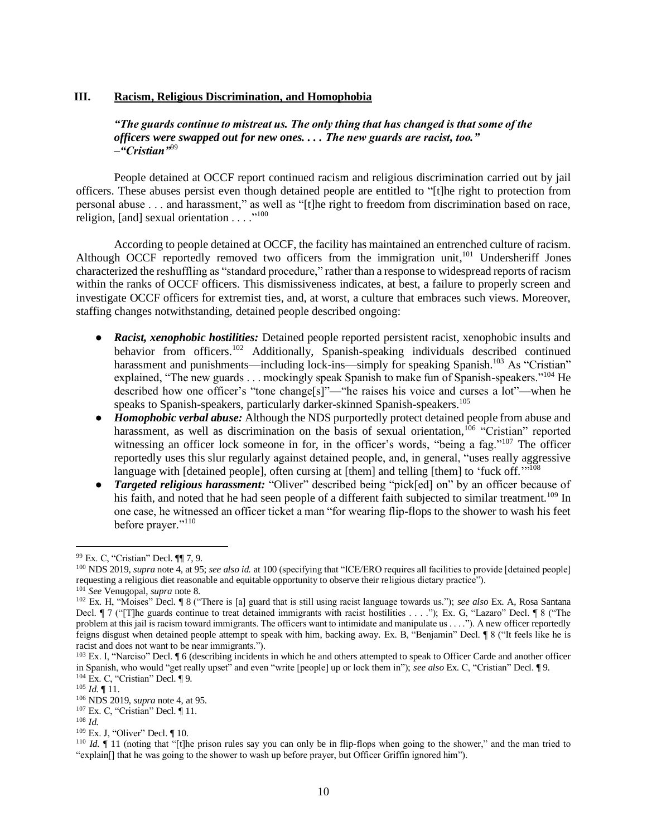#### **III. Racism, Religious Discrimination, and Homophobia**

# *"The guards continue to mistreat us. The only thing that has changed is that some of the officers were swapped out for new ones. . . . The new guards are racist, too." –"Cristian"*<sup>99</sup>

People detained at OCCF report continued racism and religious discrimination carried out by jail officers. These abuses persist even though detained people are entitled to "[t]he right to protection from personal abuse . . . and harassment," as well as "[t]he right to freedom from discrimination based on race, religion, [and] sexual orientation . . . . "<sup>100</sup>

According to people detained at OCCF, the facility has maintained an entrenched culture of racism. Although OCCF reportedly removed two officers from the immigration unit,<sup>101</sup> Undersheriff Jones characterized the reshuffling as "standard procedure," rather than a response to widespread reports of racism within the ranks of OCCF officers. This dismissiveness indicates, at best, a failure to properly screen and investigate OCCF officers for extremist ties, and, at worst, a culture that embraces such views. Moreover, staffing changes notwithstanding, detained people described ongoing:

- *Racist, xenophobic hostilities:* Detained people reported persistent racist, xenophobic insults and behavior from officers.<sup>102</sup> Additionally, Spanish-speaking individuals described continued harassment and punishments—including lock-ins—simply for speaking Spanish.<sup>103</sup> As "Cristian" explained, "The new guards . . . mockingly speak Spanish to make fun of Spanish-speakers."<sup>104</sup> He described how one officer's "tone change[s]"—"he raises his voice and curses a lot"—when he speaks to Spanish-speakers, particularly darker-skinned Spanish-speakers.<sup>105</sup>
- *Homophobic verbal abuse:* Although the NDS purportedly protect detained people from abuse and harassment, as well as discrimination on the basis of sexual orientation,<sup>106</sup> "Cristian" reported witnessing an officer lock someone in for, in the officer's words, "being a fag."<sup>107</sup> The officer reportedly uses this slur regularly against detained people, and, in general, "uses really aggressive language with [detained people], often cursing at [them] and telling [them] to 'fuck off.'"<sup>108</sup>
- *Targeted religious harassment:* "Oliver" described being "pick[ed] on" by an officer because of his faith, and noted that he had seen people of a different faith subjected to similar treatment.<sup>109</sup> In one case, he witnessed an officer ticket a man "for wearing flip-flops to the shower to wash his feet before prayer."<sup>110</sup>

<sup>99</sup> Ex. C, "Cristian" Decl. ¶¶ 7, 9.

<sup>&</sup>lt;sup>100</sup> NDS 2019, *supra* note 4, at 95; *see also id.* at 100 (specifying that "ICE/ERO requires all facilities to provide [detained people] requesting a religious diet reasonable and equitable opportunity to observe their religious dietary practice"). <sup>101</sup> *See* Venugopal, *supra* note 8.

<sup>102</sup> Ex. H, "Moises" Decl. ¶ 8 ("There is [a] guard that is still using racist language towards us."); *see also* Ex. A, Rosa Santana Decl. ¶ 7 ("[T]he guards continue to treat detained immigrants with racist hostilities . . . ."); Ex. G, "Lazaro" Decl. ¶ 8 ("The problem at this jail is racism toward immigrants. The officers want to intimidate and manipulate us . . . ."). A new officer reportedly feigns disgust when detained people attempt to speak with him, backing away. Ex. B, "Benjamin" Decl. ¶ 8 ("It feels like he is racist and does not want to be near immigrants.").

<sup>&</sup>lt;sup>103</sup> Ex. I, "Narciso" Decl. ¶ 6 (describing incidents in which he and others attempted to speak to Officer Carde and another officer in Spanish, who would "get really upset" and even "write [people] up or lock them in"); *see also* Ex. C, "Cristian" Decl. ¶ 9. <sup>104</sup> Ex. C, "Cristian" Decl. ¶ 9.

<sup>105</sup> *Id.* ¶ 11.

<sup>106</sup> NDS 2019, *supra* note 4, at 95.

<sup>107</sup> Ex. C, "Cristian" Decl. ¶ 11.

<sup>108</sup> *Id.*

<sup>109</sup> Ex. J, "Oliver" Decl. ¶ 10.

<sup>110</sup> *Id.* ¶ 11 (noting that "[t]he prison rules say you can only be in flip-flops when going to the shower," and the man tried to "explain[] that he was going to the shower to wash up before prayer, but Officer Griffin ignored him").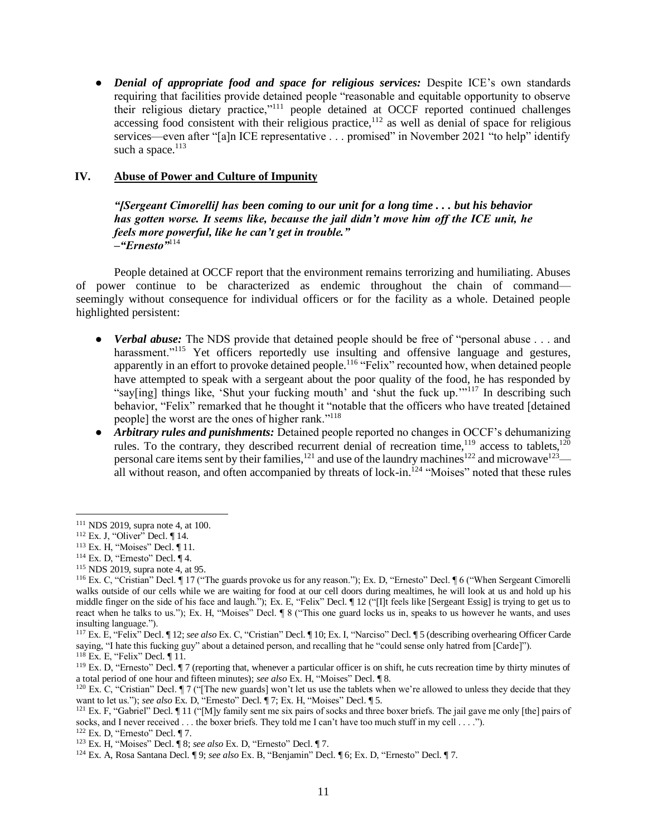• *Denial of appropriate food and space for religious services:* Despite ICE's own standards requiring that facilities provide detained people "reasonable and equitable opportunity to observe their religious dietary practice,"<sup>111</sup> people detained at OCCF reported continued challenges accessing food consistent with their religious practice,<sup>112</sup> as well as denial of space for religious services—even after "[a]n ICE representative . . . promised" in November 2021 "to help" identify such a space.<sup>113</sup>

# **IV. Abuse of Power and Culture of Impunity**

*"[Sergeant Cimorelli] has been coming to our unit for a long time . . . but his behavior has gotten worse. It seems like, because the jail didn't move him off the ICE unit, he feels more powerful, like he can't get in trouble." –"Ernesto"*<sup>114</sup>

People detained at OCCF report that the environment remains terrorizing and humiliating. Abuses of power continue to be characterized as endemic throughout the chain of command seemingly without consequence for individual officers or for the facility as a whole. Detained people highlighted persistent:

- *Verbal abuse:* The NDS provide that detained people should be free of "personal abuse . . . and harassment."<sup>115</sup> Yet officers reportedly use insulting and offensive language and gestures, apparently in an effort to provoke detained people.<sup>116</sup> "Felix" recounted how, when detained people have attempted to speak with a sergeant about the poor quality of the food, he has responded by "say[ing] things like, 'Shut your fucking mouth' and 'shut the fuck up."<sup>117</sup> In describing such behavior, "Felix" remarked that he thought it "notable that the officers who have treated [detained people] the worst are the ones of higher rank."<sup>118</sup>
- *Arbitrary rules and punishments:* Detained people reported no changes in OCCF's dehumanizing rules. To the contrary, they described recurrent denial of recreation time,<sup>119</sup> access to tablets,<sup>120</sup> personal care items sent by their families, $121$  and use of the laundry machines<sup>122</sup> and microwave<sup>123</sup> all without reason, and often accompanied by threats of lock-in.<sup>124</sup> "Moises" noted that these rules

<sup>115</sup> NDS 2019, supra note 4, at 95.

 $122$  Ex. D, "Ernesto" Decl. ¶ 7.

<sup>111</sup> NDS 2019, supra note 4, at 100.

 $112$  Ex. J, "Oliver" Decl.  $\P$  14.

<sup>113</sup> Ex. H, "Moises" Decl. ¶ 11.

 $114$  Ex. D, "Ernesto" Decl.  $\P$  4.

<sup>116</sup> Ex. C, "Cristian" Decl. ¶ 17 ("The guards provoke us for any reason."); Ex. D, "Ernesto" Decl. ¶ 6 ("When Sergeant Cimorelli walks outside of our cells while we are waiting for food at our cell doors during mealtimes, he will look at us and hold up his middle finger on the side of his face and laugh."); Ex. E, "Felix" Decl. ¶ 12 ("[I]t feels like [Sergeant Essig] is trying to get us to react when he talks to us."); Ex. H, "Moises" Decl. ¶ 8 ("This one guard locks us in, speaks to us however he wants, and uses insulting language.").

<sup>117</sup> Ex. E, "Felix" Decl. ¶ 12; *see also* Ex. C, "Cristian" Decl. ¶ 10; Ex. I, "Narciso" Decl. ¶ 5 (describing overhearing Officer Carde saying, "I hate this fucking guy" about a detained person, and recalling that he "could sense only hatred from [Carde]").

<sup>118</sup> Ex. E, "Felix" Decl. ¶ 11.

 $119$  Ex. D, "Ernesto" Decl.  $\P$  7 (reporting that, whenever a particular officer is on shift, he cuts recreation time by thirty minutes of a total period of one hour and fifteen minutes); *see also* Ex. H, "Moises" Decl. ¶ 8.

<sup>&</sup>lt;sup>120</sup> Ex. C, "Cristian" Decl.  $\P$  7 ("The new guards] won't let us use the tablets when we're allowed to unless they decide that they want to let us."); *see also* Ex. D, "Ernesto" Decl. ¶ 7; Ex. H, "Moises" Decl. ¶ 5.

<sup>&</sup>lt;sup>121</sup> Ex. F, "Gabriel" Decl.  $\P$  11 ("[M]y family sent me six pairs of socks and three boxer briefs. The jail gave me only [the] pairs of socks, and I never received . . . the boxer briefs. They told me I can't have too much stuff in my cell . . . .").

<sup>123</sup> Ex. H, "Moises" Decl. ¶ 8; *see also* Ex. D, "Ernesto" Decl. ¶ 7.

<sup>124</sup> Ex. A, Rosa Santana Decl. ¶ 9; *see also* Ex. B, "Benjamin" Decl. ¶ 6; Ex. D, "Ernesto" Decl. ¶ 7.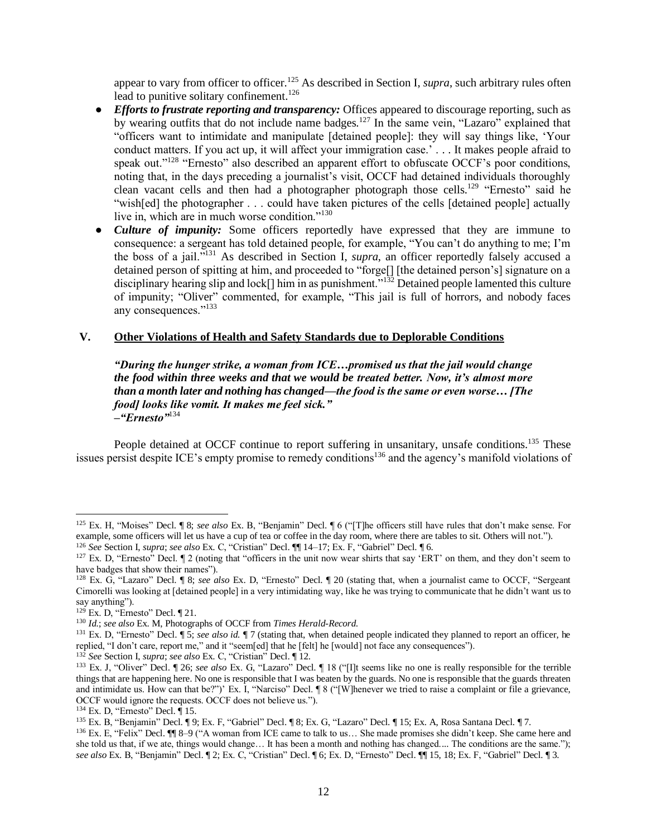appear to vary from officer to officer.<sup>125</sup> As described in Section I, *supra*, such arbitrary rules often lead to punitive solitary confinement.<sup>126</sup>

- *Efforts to frustrate reporting and transparency:* Offices appeared to discourage reporting, such as by wearing outfits that do not include name badges.<sup>127</sup> In the same vein, "Lazaro" explained that "officers want to intimidate and manipulate [detained people]: they will say things like, 'Your conduct matters. If you act up, it will affect your immigration case.' . . . It makes people afraid to speak out."<sup>128</sup> "Ernesto" also described an apparent effort to obfuscate OCCF's poor conditions, noting that, in the days preceding a journalist's visit, OCCF had detained individuals thoroughly clean vacant cells and then had a photographer photograph those cells.<sup>129</sup> "Ernesto" said he "wish[ed] the photographer . . . could have taken pictures of the cells [detained people] actually live in, which are in much worse condition."<sup>130</sup>
- *Culture of impunity:* Some officers reportedly have expressed that they are immune to consequence: a sergeant has told detained people, for example, "You can't do anything to me; I'm the boss of a jail."<sup>131</sup> As described in Section I, *supra*, an officer reportedly falsely accused a detained person of spitting at him, and proceeded to "forge[] [the detained person's] signature on a disciplinary hearing slip and lock[] him in as punishment."<sup>132</sup> Detained people lamented this culture of impunity; "Oliver" commented, for example, "This jail is full of horrors, and nobody faces any consequences."<sup>133</sup>

# **V. Other Violations of Health and Safety Standards due to Deplorable Conditions**

*"During the hunger strike, a woman from ICE…promised us that the jail would change the food within three weeks and that we would be treated better. Now, it's almost more than a month later and nothing has changed—the food is the same or even worse… [The food] looks like vomit. It makes me feel sick." –"Ernesto"*<sup>134</sup>

People detained at OCCF continue to report suffering in unsanitary, unsafe conditions.<sup>135</sup> These issues persist despite ICE's empty promise to remedy conditions<sup>136</sup> and the agency's manifold violations of

<sup>125</sup> Ex. H, "Moises" Decl. ¶ 8; *see also* Ex. B, "Benjamin" Decl. ¶ 6 ("[T]he officers still have rules that don't make sense. For example, some officers will let us have a cup of tea or coffee in the day room, where there are tables to sit. Others will not."). <sup>126</sup> *See* Section I, *supra*; *see also* Ex. C, "Cristian" Decl. ¶¶ 14–17; Ex. F, "Gabriel" Decl. ¶ 6.

 $127$  Ex. D, "Ernesto" Decl.  $\parallel$  2 (noting that "officers in the unit now wear shirts that say 'ERT' on them, and they don't seem to have badges that show their names").

<sup>128</sup> Ex. G, "Lazaro" Decl. ¶ 8; *see also* Ex. D, "Ernesto" Decl. ¶ 20 (stating that, when a journalist came to OCCF, "Sergeant Cimorelli was looking at [detained people] in a very intimidating way, like he was trying to communicate that he didn't want us to say anything").

 $129$  Ex. D, "Ernesto" Decl.  $\P$  21.

<sup>130</sup> *Id.*; *see also* Ex. M, Photographs of OCCF from *Times Herald-Record*.

<sup>&</sup>lt;sup>131</sup> Ex. D, "Ernesto" Decl.  $\sqrt{5}$ ; *see also id.*  $\sqrt{7}$  (stating that, when detained people indicated they planned to report an officer, he replied, "I don't care, report me," and it "seem[ed] that he [felt] he [would] not face any consequences").

<sup>132</sup> *See* Section I, *supra*; *see also* Ex. C, "Cristian" Decl. ¶ 12.

<sup>133</sup> Ex. J, "Oliver" Decl. ¶ 26; *see also* Ex. G, "Lazaro" Decl. ¶ 18 ("[I]t seems like no one is really responsible for the terrible things that are happening here. No one is responsible that I was beaten by the guards. No one is responsible that the guards threaten and intimidate us. How can that be?")' Ex. I, "Narciso" Decl. ¶ 8 ("[W]henever we tried to raise a complaint or file a grievance, OCCF would ignore the requests. OCCF does not believe us.").

<sup>134</sup> Ex. D, "Ernesto" Decl. ¶ 15.

<sup>135</sup> Ex. B, "Benjamin" Decl. ¶ 9; Ex. F, "Gabriel" Decl. ¶ 8; Ex. G, "Lazaro" Decl. ¶ 15; Ex. A, Rosa Santana Decl. ¶ 7.

<sup>136</sup> Ex. E, "Felix" Decl. ¶¶ 8–9 ("A woman from ICE came to talk to us… She made promises she didn't keep. She came here and she told us that, if we ate, things would change… It has been a month and nothing has changed.... The conditions are the same."); *see also* Ex. B, "Benjamin" Decl. ¶ 2; Ex. C, "Cristian" Decl. ¶ 6; Ex. D, "Ernesto" Decl. ¶¶ 15, 18; Ex. F, "Gabriel" Decl. ¶ 3.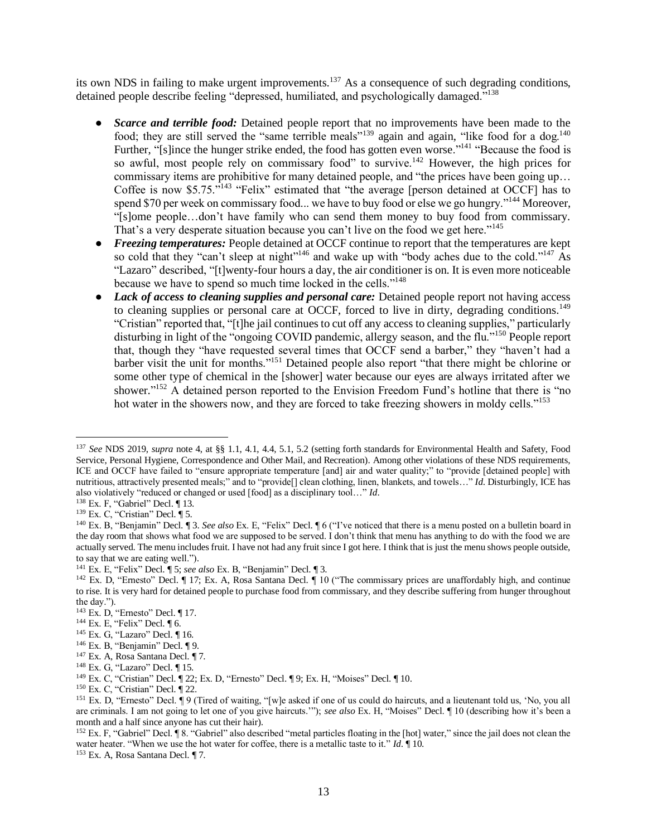its own NDS in failing to make urgent improvements.<sup>137</sup> As a consequence of such degrading conditions, detained people describe feeling "depressed, humiliated, and psychologically damaged."<sup>138</sup>

- *Scarce and terrible food:* Detained people report that no improvements have been made to the food; they are still served the "same terrible meals"<sup>139</sup> again and again, "like food for a dog.<sup>140</sup> Further, "[s]ince the hunger strike ended, the food has gotten even worse."<sup>141</sup> "Because the food is so awful, most people rely on commissary food" to survive.<sup>142</sup> However, the high prices for commissary items are prohibitive for many detained people, and "the prices have been going up… Coffee is now \$5.75."<sup>143</sup> "Felix" estimated that "the average [person detained at OCCF] has to spend \$70 per week on commissary food... we have to buy food or else we go hungry."<sup>144</sup> Moreover, "[s]ome people…don't have family who can send them money to buy food from commissary. That's a very desperate situation because you can't live on the food we get here."<sup>145</sup>
- *Freezing temperatures:* People detained at OCCF continue to report that the temperatures are kept so cold that they "can't sleep at night"<sup>146</sup> and wake up with "body aches due to the cold."<sup>147</sup> As "Lazaro" described, "[t]wenty-four hours a day, the air conditioner is on. It is even more noticeable because we have to spend so much time locked in the cells."<sup>148</sup>
- *Lack of access to cleaning supplies and personal care:* Detained people report not having access to cleaning supplies or personal care at OCCF, forced to live in dirty, degrading conditions.<sup>149</sup> "Cristian" reported that, "[t]he jail continues to cut off any access to cleaning supplies," particularly disturbing in light of the "ongoing COVID pandemic, allergy season, and the flu."<sup>150</sup> People report that, though they "have requested several times that OCCF send a barber," they "haven't had a barber visit the unit for months."<sup>151</sup> Detained people also report "that there might be chlorine or some other type of chemical in the [shower] water because our eyes are always irritated after we shower."<sup>152</sup> A detained person reported to the Envision Freedom Fund's hotline that there is "no hot water in the showers now, and they are forced to take freezing showers in moldy cells."<sup>153</sup>

<sup>137</sup> *See* NDS 2019, *supra* note 4, at §§ 1.1, 4.1, 4.4, 5.1, 5.2 (setting forth standards for Environmental Health and Safety, Food Service, Personal Hygiene, Correspondence and Other Mail, and Recreation). Among other violations of these NDS requirements, ICE and OCCF have failed to "ensure appropriate temperature [and] air and water quality;" to "provide [detained people] with nutritious, attractively presented meals;" and to "provide[] clean clothing, linen, blankets, and towels…" *Id*. Disturbingly, ICE has also violatively "reduced or changed or used [food] as a disciplinary tool…" *Id*.

<sup>138</sup> Ex. F, "Gabriel" Decl. ¶ 13.

<sup>139</sup> Ex. C, "Cristian" Decl. ¶ 5.

<sup>140</sup> Ex. B, "Benjamin" Decl. ¶ 3. *See also* Ex. E, "Felix" Decl. ¶ 6 ("I've noticed that there is a menu posted on a bulletin board in the day room that shows what food we are supposed to be served. I don't think that menu has anything to do with the food we are actually served. The menu includes fruit. I have not had any fruit since I got here. I think that is just the menu shows people outside, to say that we are eating well.").

<sup>141</sup> Ex. E, "Felix" Decl. ¶ 5; *see also* Ex. B, "Benjamin" Decl. ¶ 3.

<sup>&</sup>lt;sup>142</sup> Ex. D, "Ernesto" Decl. [ 17; Ex. A, Rosa Santana Decl. [ 10 ("The commissary prices are unaffordably high, and continue to rise. It is very hard for detained people to purchase food from commissary, and they describe suffering from hunger throughout the day.").

<sup>143</sup> Ex. D, "Ernesto" Decl. ¶ 17.

 $144$  Ex. E, "Felix" Decl.  $\P$  6.

<sup>&</sup>lt;sup>145</sup> Ex. G, "Lazaro" Decl. ¶ 16.

<sup>146</sup> Ex. B, "Benjamin" Decl. ¶ 9.

<sup>&</sup>lt;sup>147</sup> Ex. A, Rosa Santana Decl. ¶ 7.

<sup>&</sup>lt;sup>148</sup> Ex. G, "Lazaro" Decl. ¶ 15.

<sup>149</sup> Ex. C, "Cristian" Decl. ¶ 22; Ex. D, "Ernesto" Decl. ¶ 9; Ex. H, "Moises" Decl. ¶ 10.

 $150$  Ex. C, "Cristian" Decl.  $\P$  22.

<sup>151</sup> Ex. D, "Ernesto" Decl. ¶ 9 (Tired of waiting, "[w]e asked if one of us could do haircuts, and a lieutenant told us, 'No, you all are criminals. I am not going to let one of you give haircuts.'"); *see also* Ex. H, "Moises" Decl. ¶ 10 (describing how it's been a month and a half since anyone has cut their hair).

<sup>152</sup> Ex. F, "Gabriel" Decl. ¶ 8. "Gabriel" also described "metal particles floating in the [hot] water," since the jail does not clean the water heater. "When we use the hot water for coffee, there is a metallic taste to it." *Id*. ¶ 10.

<sup>153</sup> Ex. A, Rosa Santana Decl. ¶ 7.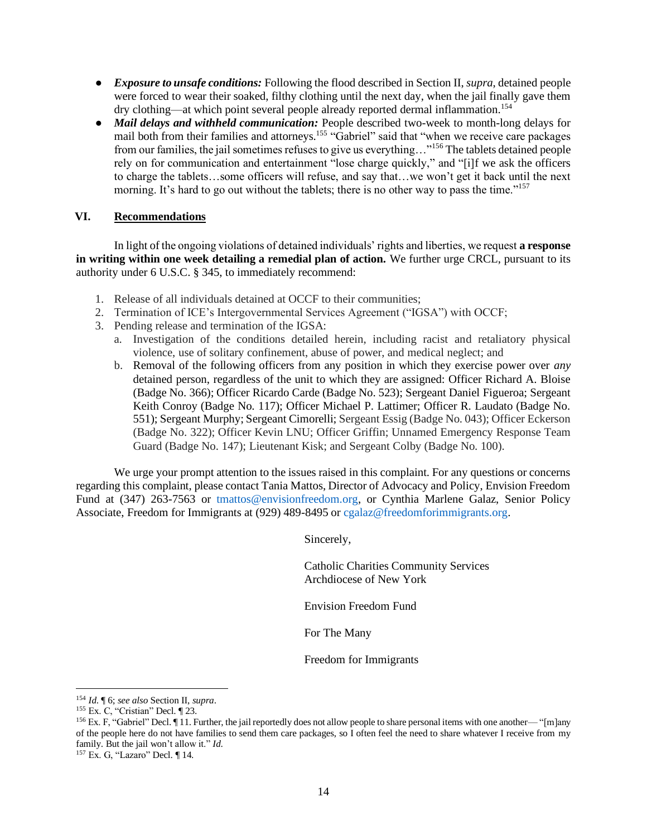- *Exposure to unsafe conditions:* Following the flood described in Section II, *supra*, detained people were forced to wear their soaked, filthy clothing until the next day, when the jail finally gave them dry clothing—at which point several people already reported dermal inflammation.<sup>154</sup>
- *Mail delays and withheld communication:* People described two-week to month-long delays for mail both from their families and attorneys.<sup>155</sup> "Gabriel" said that "when we receive care packages from our families, the jail sometimes refuses to give us everything..."<sup>156</sup> The tablets detained people rely on for communication and entertainment "lose charge quickly," and "[i]f we ask the officers to charge the tablets…some officers will refuse, and say that…we won't get it back until the next morning. It's hard to go out without the tablets; there is no other way to pass the time."<sup>157</sup>

# **VI. Recommendations**

In light of the ongoing violations of detained individuals' rights and liberties, we request **a response in writing within one week detailing a remedial plan of action.** We further urge CRCL, pursuant to its authority under 6 U.S.C. § 345, to immediately recommend:

- 1. Release of all individuals detained at OCCF to their communities;
- 2. Termination of ICE's Intergovernmental Services Agreement ("IGSA") with OCCF;
- 3. Pending release and termination of the IGSA:
	- a. Investigation of the conditions detailed herein, including racist and retaliatory physical violence, use of solitary confinement, abuse of power, and medical neglect; and
	- b. Removal of the following officers from any position in which they exercise power over *any* detained person, regardless of the unit to which they are assigned: Officer Richard A. Bloise (Badge No. 366); Officer Ricardo Carde (Badge No. 523); Sergeant Daniel Figueroa; Sergeant Keith Conroy (Badge No. 117); Officer Michael P. Lattimer; Officer R. Laudato (Badge No. 551); Sergeant Murphy; Sergeant Cimorelli; Sergeant Essig (Badge No. 043); Officer Eckerson (Badge No. 322); Officer Kevin LNU; Officer Griffin; Unnamed Emergency Response Team Guard (Badge No. 147); Lieutenant Kisk; and Sergeant Colby (Badge No. 100).

We urge your prompt attention to the issues raised in this complaint. For any questions or concerns regarding this complaint, please contact Tania Mattos, Director of Advocacy and Policy, Envision Freedom Fund at (347) 263-7563 or tmattos@envisionfreedom.org, or Cynthia Marlene Galaz, Senior Policy Associate, Freedom for Immigrants at (929) 489-8495 or cgalaz@freedomforimmigrants.org.

Sincerely,

Catholic Charities Community Services Archdiocese of New York

Envision Freedom Fund

For The Many

Freedom for Immigrants

<sup>154</sup> *Id*. ¶ 6; *see also* Section II, *supra*.

<sup>155</sup> Ex. C, "Cristian" Decl. ¶ 23.

<sup>&</sup>lt;sup>156</sup> Ex. F, "Gabriel" Decl.  $\P$  11. Further, the jail reportedly does not allow people to share personal items with one another— "[m]any of the people here do not have families to send them care packages, so I often feel the need to share whatever I receive from my family. But the jail won't allow it." *Id*.

<sup>157</sup> Ex. G, "Lazaro" Decl. ¶ 14.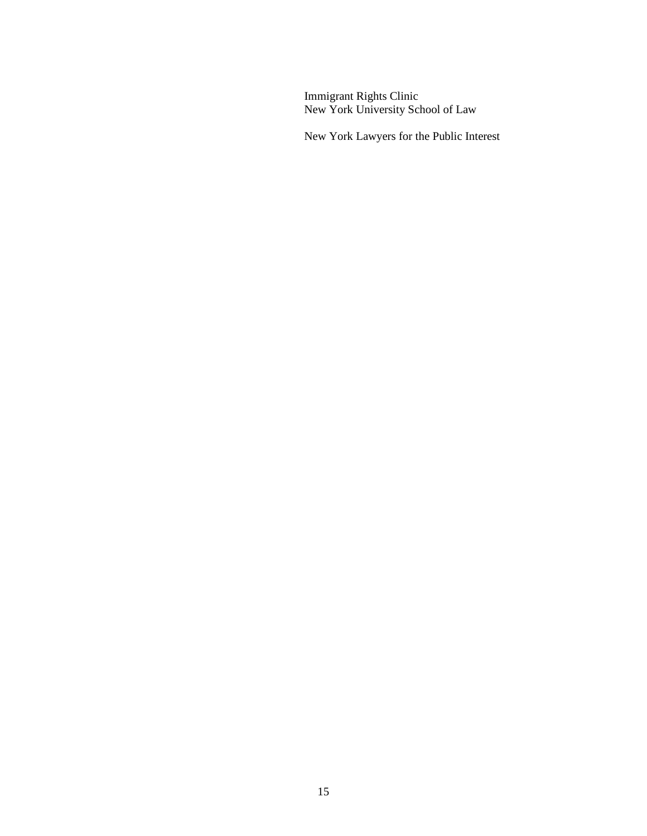Immigrant Rights Clinic New York University School of Law

New York Lawyers for the Public Interest